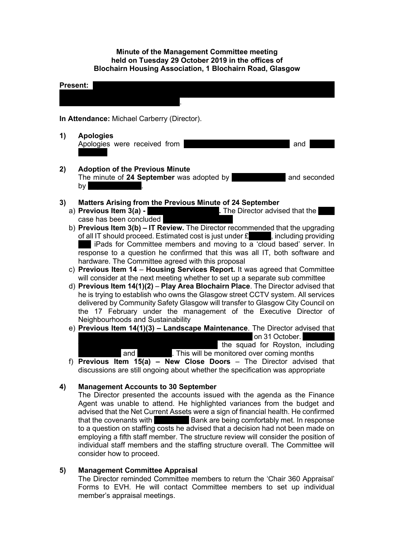### **Minute of the Management Committee meeting held on Tuesday 29 October 2019 in the offices of Blochairn Housing Association, 1 Blochairn Road, Glasgow**



- b) **Previous Item 3(b) – IT Review.** The Director recommended that the upgrading of all IT should proceed. Estimated cost is just under  $\mathbf{f}$ , including providing liPads for Committee members and moving to a 'cloud based' server. In response to a question he confirmed that this was all IT, both software and hardware. The Committee agreed with this proposal
- c) **Previous Item 14 Housing Services Report.** It was agreed that Committee will consider at the next meeting whether to set up a separate sub committee
- d) **Previous Item 14(1)(2) Play Area Blochairn Place**. The Director advised that he is trying to establish who owns the Glasgow street CCTV system. All services delivered by Community Safety Glasgow will transfer to Glasgow City Council on the 17 February under the management of the Executive Director of Neighbourhoods and Sustainability
- e) **Previous Item 14(1)(3) – Landscape Maintenance**. The Director advised that on 31 October.  $\overline{a}$  the squad for Royston, including and **Spirits 200 and Spire View And Spire View And Spire View.** This will be monitored over coming months
- f) **Previous Item 15(a) – New Close Doors** The Director advised that discussions are still ongoing about whether the specification was appropriate

# **4) Management Accounts to 30 September**

The Director presented the accounts issued with the agenda as the Finance Agent was unable to attend. He highlighted variances from the budget and advised that the Net Current Assets were a sign of financial health. He confirmed that the covenants with **Example 20** Bank are being comfortably met. In response to a question on staffing costs he advised that a decision had not been made on employing a fifth staff member. The structure review will consider the position of individual staff members and the staffing structure overall. The Committee will consider how to proceed.

# **5) Management Committee Appraisal**

The Director reminded Committee members to return the 'Chair 360 Appraisal' Forms to EVH. He will contact Committee members to set up individual member's appraisal meetings.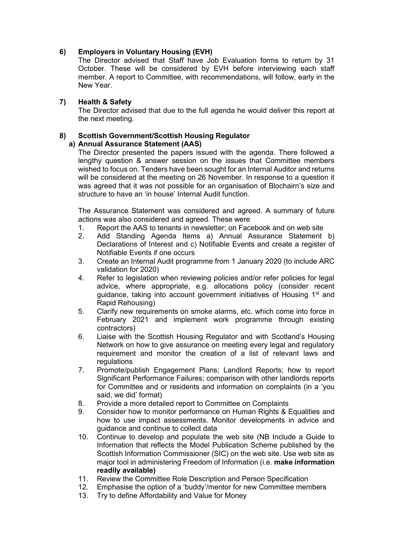# **6) Employers in Voluntary Housing (EVH)**

The Director advised that Staff have Job Evaluation forms to return by 31 October. These will be considered by EVH before interviewing each staff member. A report to Committee, with recommendations, will follow, early in the New Year.

## **7) Health & Safety**

The Director advised that due to the full agenda he would deliver this report at the next meeting.

# **8) Scottish Government/Scottish Housing Regulator**

# **a) Annual Assurance Statement (AAS)**

The Director presented the papers issued with the agenda. There followed a lengthy question & answer session on the issues that Committee members wished to focus on. Tenders have been sought for an Internal Auditor and returns will be considered at the meeting on 26 November. In response to a question it was agreed that it was not possible for an organisation of Blochairn's size and structure to have an 'in house' Internal Audit function.

The Assurance Statement was considered and agreed. A summary of future actions was also considered and agreed. These were

- 1. Report the AAS to tenants in newsletter; on Facebook and on web site
- 2. Add Standing Agenda Items a) Annual Assurance Statement b) Declarations of Interest and c) Notifiable Events and create a register of Notifiable Events if one occurs
- 3. Create an Internal Audit programme from 1 January 2020 (to include ARC validation for 2020)
- 4. Refer to legislation when reviewing policies and/or refer policies for legal advice, where appropriate, e.g. allocations policy (consider recent guidance, taking into account government initiatives of Housing 1<sup>st</sup> and Rapid Rehousing)
- 5. Clarify new requirements on smoke alarms, etc. which come into force in February 2021 and implement work programme through existing contractors)
- 6. Liaise with the Scottish Housing Regulator and with Scotland's Housing Network on how to give assurance on meeting every legal and regulatory requirement and monitor the creation of a list of relevant laws and regulations
- 7. Promote/publish Engagement Plans; Landlord Reports; how to report Significant Performance Failures; comparison with other landlords reports for Committee and or residents and information on complaints (in a 'you said, we did' format)
- 8. Provide a more detailed report to Committee on Complaints
- 9. Consider how to monitor performance on Human Rights & Equalities and how to use impact assessments. Monitor developments in advice and guidance and continue to collect data
- 10. Continue to develop and populate the web site (NB Include a Guide to Information that reflects the Model Publication Scheme published by the Scottish Information Commissioner (SIC) on the web site. Use web site as major tool in administering Freedom of Information (i.e. **make information readily available)**
- 11. Review the Committee Role Description and Person Specification
- 12. Emphasise the option of a 'buddy'/mentor for new Committee members
- 13. Try to define Affordability and Value for Money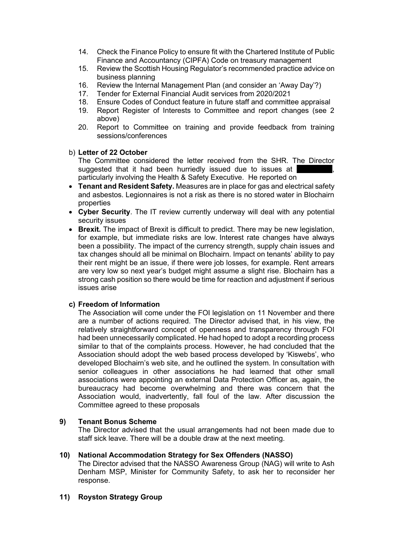- 14. Check the Finance Policy to ensure fit with the Chartered Institute of Public Finance and Accountancy (CIPFA) Code on treasury management
- 15. Review the Scottish Housing Regulator's recommended practice advice on business planning
- 16. Review the Internal Management Plan (and consider an 'Away Day'?)
- 17. Tender for External Financial Audit services from 2020/2021
- 18. Ensure Codes of Conduct feature in future staff and committee appraisal
- 19. Report Register of Interests to Committee and report changes (see 2 above)
- 20. Report to Committee on training and provide feedback from training sessions/conferences

#### b) **Letter of 22 October**

The Committee considered the letter received from the SHR. The Director suggested that it had been hurriedly issued due to issues at particularly involving the Health & Safety Executive. He reported on

- **Tenant and Resident Safety.** Measures are in place for gas and electrical safety and asbestos. Legionnaires is not a risk as there is no stored water in Blochairn properties
- **Cyber Security**. The IT review currently underway will deal with any potential security issues
- **Brexit.** The impact of Brexit is difficult to predict. There may be new legislation, for example, but immediate risks are low. Interest rate changes have always been a possibility. The impact of the currency strength, supply chain issues and tax changes should all be minimal on Blochairn. Impact on tenants' ability to pay their rent might be an issue, if there were job losses, for example. Rent arrears are very low so next year's budget might assume a slight rise. Blochairn has a strong cash position so there would be time for reaction and adjustment if serious issues arise

### **c) Freedom of Information**

The Association will come under the FOI legislation on 11 November and there are a number of actions required. The Director advised that, in his view, the relatively straightforward concept of openness and transparency through FOI had been unnecessarily complicated. He had hoped to adopt a recording process similar to that of the complaints process. However, he had concluded that the Association should adopt the web based process developed by 'Kiswebs', who developed Blochairn's web site, and he outlined the system. In consultation with senior colleagues in other associations he had learned that other small associations were appointing an external Data Protection Officer as, again, the bureaucracy had become overwhelming and there was concern that the Association would, inadvertently, fall foul of the law. After discussion the Committee agreed to these proposals

### **9) Tenant Bonus Scheme**

The Director advised that the usual arrangements had not been made due to staff sick leave. There will be a double draw at the next meeting.

#### **10) National Accommodation Strategy for Sex Offenders (NASSO)**

The Director advised that the NASSO Awareness Group (NAG) will write to Ash Denham MSP, Minister for Community Safety, to ask her to reconsider her response.

### **11) Royston Strategy Group**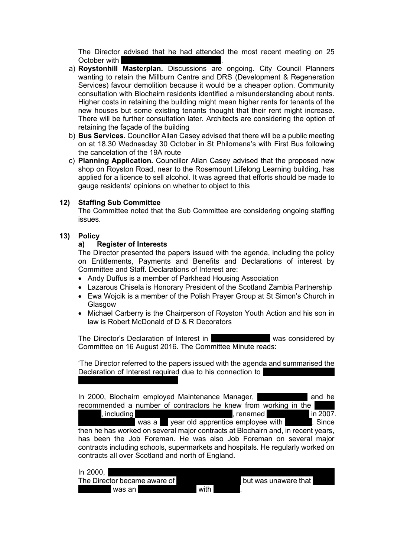The Director advised that he had attended the most recent meeting on 25 October with

- a) **Roystonhill Masterplan.** Discussions are ongoing. City Council Planners wanting to retain the Millburn Centre and DRS (Development & Regeneration Services) favour demolition because it would be a cheaper option. Community consultation with Blochairn residents identified a misunderstanding about rents. Higher costs in retaining the building might mean higher rents for tenants of the new houses but some existing tenants thought that their rent might increase. There will be further consultation later. Architects are considering the option of retaining the façade of the building
- b) **Bus Services.** Councillor Allan Casey advised that there will be a public meeting on at 18.30 Wednesday 30 October in St Philomena's with First Bus following the cancelation of the 19A route
- c) **Planning Application.** Councillor Allan Casey advised that the proposed new shop on Royston Road, near to the Rosemount Lifelong Learning building, has applied for a licence to sell alcohol. It was agreed that efforts should be made to gauge residents' opinions on whether to object to this

#### **12) Staffing Sub Committee**

The Committee noted that the Sub Committee are considering ongoing staffing issues.

# **13) Policy**

#### **a) Register of Interests**

The Director presented the papers issued with the agenda, including the policy on Entitlements, Payments and Benefits and Declarations of interest by Committee and Staff. Declarations of Interest are:

- Andy Duffus is a member of Parkhead Housing Association
- Lazarous Chisela is Honorary President of the Scotland Zambia Partnership
- Ewa Wojcik is a member of the Polish Prayer Group at St Simon's Church in Glasgow
- Michael Carberry is the Chairperson of Royston Youth Action and his son in law is Robert McDonald of D & R Decorators

The Director's Declaration of Interest in The Director's Declaration of Interest in Committee on 16 August 2016. The Committee Minute reads:

'The Director referred to the papers issued with the agenda and summarised the Declaration of Interest required due to his connection to

In 2000. Blochairn employed Maintenance Manager, Malcolm Breen and he recommended a number of contractors he knew from working in the service, including painter-decoration, including painter-decoration,  $\Gamma$  are leader to  $\Gamma$  in 2007. was a 19 year old apprentice employee with 19 Since then he has worked on several major contracts at Blochairn and, in recent years, has been the Job Foreman. He was also Job Foreman on several major contracts including schools, supermarkets and hospitals. He regularly worked on contracts all over Scotland and north of England.

| In 2000,                     |      |                       |
|------------------------------|------|-----------------------|
| The Director became aware of |      | Tbut was unaware that |
| was an                       | with |                       |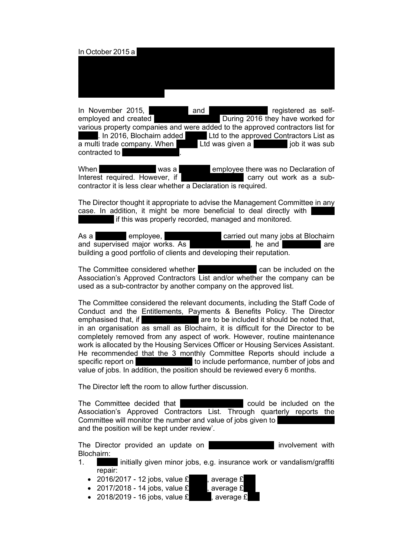## In October 2015 a Petty, being sacked by Decorous. This will be the subject of an Employment Tribunal Hearing. There was then a period of turmoil within Decorous. Several tradesmen, and Director, Kevin Quirie, left the company. In 2016 queries about Decorous jobs and invoices led to Decorous being removed from Blochairn's Approved Contractors List.

In November 2015, **David Petro Accord Petro Accord Petro Accord Petro Accord Petro Accord McDonald Petro Accord Petro Accord Petro Accord McDonald Petro Accord Petro Accord Petro Accord Petro Accord Petro Accord Petro Acco** employed and created The R During 2016 they have worked for various property companies and were added to the approved contractors list for  $\overline{A}$ . In 2016, Blochairn added **PMFM** Ltd to the approved Contractors List as  $\overline{a}$  multi trade company. When  $\overline{a}$  Ltd was given a decoration job it was sub contracted to

When **Robert McDonald Was a** Robert McDonald employee there was no Declaration of Interest required. However, if  $\overline{a}$  **B**  $\overline{a}$  carry out work as a subcontractor it is less clear whether a Declaration is required.

The Director thought it appropriate to advise the Management Committee in any case. In addition, it might be more beneficial to deal directly with If this was properly recorded, managed and monitored.

As a **Decorous employee,** Robert McDonald carried out many jobs at Blochairn and supervised major works. As D & R Decorators, he and David Petty are building a good portfolio of clients and developing their reputation.

The Committee considered whether **Example 2** can be included on the Association's Approved Contractors List and/or whether the company can be used as a sub-contractor by another company on the approved list.

The Committee considered the relevant documents, including the Staff Code of Conduct and the Entitlements, Payments & Benefits Policy. The Director emphasised that, if **Example 20 and S** are to be included it should be noted that, in an organisation as small as Blochairn, it is difficult for the Director to be completely removed from any aspect of work. However, routine maintenance work is allocated by the Housing Services Officer or Housing Services Assistant. He recommended that the 3 monthly Committee Reports should include a specific report on  $\blacksquare$  to include performance, number of jobs and value of jobs. In addition, the position should be reviewed every 6 months.

The Director left the room to allow further discussion.

The Committee decided that **Decoration** could be included on the Association's Approved Contractors List. Through quarterly reports the Committee will monitor the number and value of jobs given to and the position will be kept under review'.

The Director provided an update on D **B** involvement with Blochairn:

- 1. **D initially given minor jobs, e.g. insurance work or vandalism/graffiti** repair:
	- 2016/2017 12 jobs, value  $£$ , average  $£$
	- 2017/2018 14 jobs, value  $£$  , average  $£$
	- 2018/2019 16 jobs, value  $£$ , average  $£$